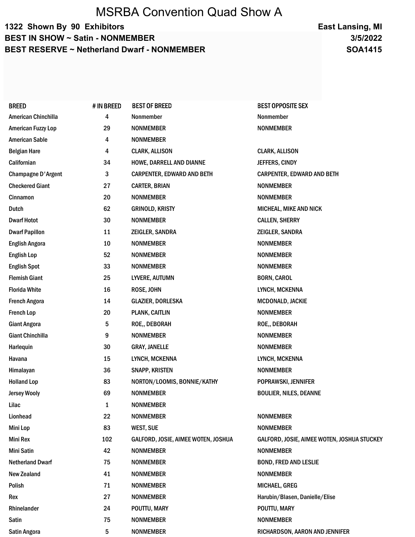## MSRBA Convention Quad Show A

## 1322 Shown By 90 Exhibitors BEST IN SHOW ~ Satin - NONMEMBER BEST RESERVE ~ Netherland Dwarf - NONMEMBER

3/5/2022 East Lansing, MI SOA1415

| <b>BREED</b>               | # IN BREED | <b>BEST OF BREED</b>                | <b>BEST OPPOSITE SEX</b>                    |  |
|----------------------------|------------|-------------------------------------|---------------------------------------------|--|
| <b>American Chinchilla</b> | 4          | Nonmember                           | Nonmember                                   |  |
| American Fuzzy Lop         | 29         | <b>NONMEMBER</b>                    | <b>NONMEMBER</b>                            |  |
| <b>American Sable</b>      | 4          | <b>NONMEMBER</b>                    |                                             |  |
| <b>Belgian Hare</b>        | 4          | <b>CLARK, ALLISON</b>               | <b>CLARK, ALLISON</b>                       |  |
| Californian                | 34         | HOWE, DARRELL AND DIANNE            | JEFFERS, CINDY                              |  |
| <b>Champagne D'Argent</b>  | 3          | <b>CARPENTER, EDWARD AND BETH</b>   | <b>CARPENTER, EDWARD AND BETH</b>           |  |
| <b>Checkered Giant</b>     | 27         | <b>CARTER, BRIAN</b>                | <b>NONMEMBER</b>                            |  |
| Cinnamon                   | 20         | <b>NONMEMBER</b>                    | <b>NONMEMBER</b>                            |  |
| Dutch                      | 62         | <b>GRINOLD, KRISTY</b>              | MICHEAL, MIKE AND NICK                      |  |
| <b>Dwarf Hotot</b>         | 30         | <b>NONMEMBER</b>                    | <b>CALLEN, SHERRY</b>                       |  |
| <b>Dwarf Papillon</b>      | 11         | ZEIGLER, SANDRA                     | ZEIGLER, SANDRA                             |  |
| <b>English Angora</b>      | 10         | <b>NONMEMBER</b>                    | <b>NONMEMBER</b>                            |  |
| <b>English Lop</b>         | 52         | <b>NONMEMBER</b>                    | <b>NONMEMBER</b>                            |  |
| <b>English Spot</b>        | 33         | <b>NONMEMBER</b>                    | <b>NONMEMBER</b>                            |  |
| <b>Flemish Giant</b>       | 25         | LYVERE, AUTUMN                      | <b>BORN, CAROL</b>                          |  |
| <b>Florida White</b>       | 16         | ROSE, JOHN                          | LYNCH, MCKENNA                              |  |
| <b>French Angora</b>       | 14         | <b>GLAZIER, DORLESKA</b>            | MCDONALD, JACKIE                            |  |
| <b>French Lop</b>          | 20         | <b>PLANK, CAITLIN</b>               | <b>NONMEMBER</b>                            |  |
| <b>Giant Angora</b>        | 5          | ROE,, DEBORAH                       | ROE., DEBORAH                               |  |
| <b>Giant Chinchilla</b>    | 9          | <b>NONMEMBER</b>                    | <b>NONMEMBER</b>                            |  |
| Harlequin                  | 30         | <b>GRAY, JANELLE</b>                | <b>NONMEMBER</b>                            |  |
| Havana                     | 15         | LYNCH, MCKENNA                      | LYNCH, MCKENNA                              |  |
| Himalayan                  | 36         | <b>SNAPP, KRISTEN</b>               | <b>NONMEMBER</b>                            |  |
| <b>Holland Lop</b>         | 83         | NORTON/LOOMIS, BONNIE/KATHY         | POPRAWSKI, JENNIFER                         |  |
| <b>Jersey Wooly</b>        | 69         | <b>NONMEMBER</b>                    | <b>BOULIER, NILES, DEANNE</b>               |  |
| Lilac                      | 1          | <b>NONMEMBER</b>                    |                                             |  |
| Lionhead                   | 22         | <b>NONMEMBER</b>                    | <b>NONMEMBER</b>                            |  |
| <b>Mini Lop</b>            | 83         | <b>WEST, SUE</b>                    | <b>NONMEMBER</b>                            |  |
| Mini Rex                   | 102        | GALFORD, JOSIE, AIMEE WOTEN, JOSHUA | GALFORD, JOSIE, AIMEE WOTEN, JOSHUA STUCKEY |  |
| Mini Satin                 | 42         | <b>NONMEMBER</b>                    | <b>NONMEMBER</b>                            |  |
| <b>Netherland Dwarf</b>    | 75         | <b>NONMEMBER</b>                    | <b>BOND, FRED AND LESLIE</b>                |  |
| <b>New Zealand</b>         | 41         | <b>NONMEMBER</b>                    | <b>NONMEMBER</b>                            |  |
| Polish                     | 71         | <b>NONMEMBER</b>                    | MICHAEL, GREG                               |  |
| Rex                        | 27         | <b>NONMEMBER</b>                    | Harubin/Blasen, Danielle/Elise              |  |
| Rhinelander                | 24         | POUTTU, MARY                        | POUTTU, MARY                                |  |
| Satin                      | 75         | <b>NONMEMBER</b>                    | <b>NONMEMBER</b>                            |  |
| Satin Angora               | 5          | <b>NONMEMBER</b>                    | RICHARDSON, AARON AND JENNIFER              |  |